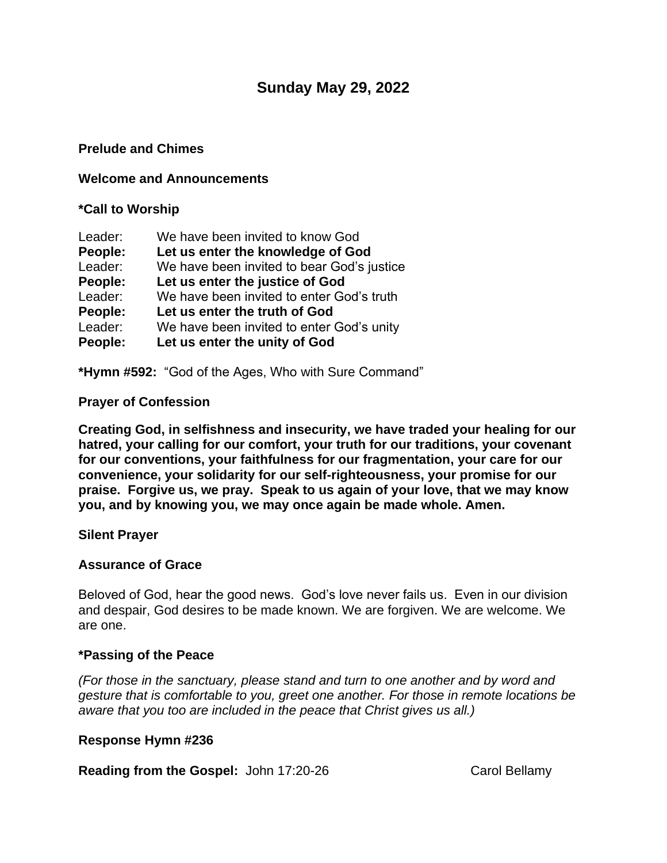# **Sunday May 29, 2022**

#### **Prelude and Chimes**

#### **Welcome and Announcements**

#### **\*Call to Worship**

| Leader: | We have been invited to know God           |
|---------|--------------------------------------------|
| People: | Let us enter the knowledge of God          |
| Leader: | We have been invited to bear God's justice |
| People: | Let us enter the justice of God            |
| Leader: | We have been invited to enter God's truth  |
| People: | Let us enter the truth of God              |
| Leader: | We have been invited to enter God's unity  |
| People: | Let us enter the unity of God              |

**\*Hymn #592:** "God of the Ages, Who with Sure Command"

## **Prayer of Confession**

**Creating God, in selfishness and insecurity, we have traded your healing for our hatred, your calling for our comfort, your truth for our traditions, your covenant for our conventions, your faithfulness for our fragmentation, your care for our convenience, your solidarity for our self-righteousness, your promise for our praise. Forgive us, we pray. Speak to us again of your love, that we may know you, and by knowing you, we may once again be made whole. Amen.**

#### **Silent Prayer**

## **Assurance of Grace**

Beloved of God, hear the good news. God's love never fails us. Even in our division and despair, God desires to be made known. We are forgiven. We are welcome. We are one.

#### **\*Passing of the Peace**

*(For those in the sanctuary, please stand and turn to one another and by word and gesture that is comfortable to you, greet one another. For those in remote locations be aware that you too are included in the peace that Christ gives us all.)*

#### **Response Hymn #236**

**Reading from the Gospel:** John 17:20-26 Carol Bellamy